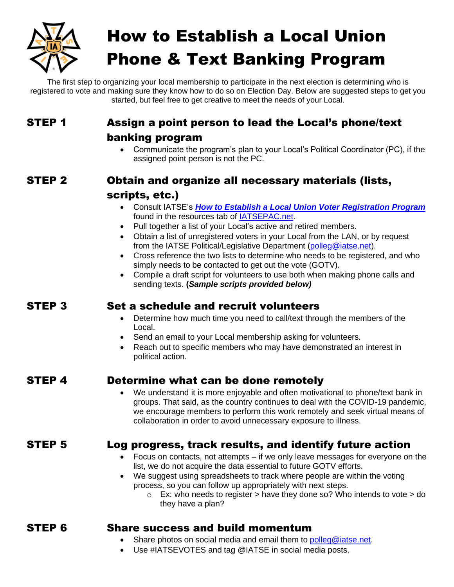

# How to Establish a Local Union Phone & Text Banking Program

The first step to organizing your local membership to participate in the next election is determining who is registered to vote and making sure they know how to do so on Election Day. Below are suggested steps to get you started, but feel free to get creative to meet the needs of your Local.

# STEP 1 Assign a point person to lead the Local's phone/text

### banking program

• Communicate the program's plan to your Local's Political Coordinator (PC), if the assigned point person is not the PC.

# STEP 2 Obtain and organize all necessary materials (lists,

## scripts, etc.)

- Consult IATSE's *How to Establish a Local Union Voter [Registration](https://app7.vocusgr.com/ViewAttachment.aspx?EID=JH57JTjm81YkZBANRnTB0jbgBTp%2fRg%2fLWZA8uTdq19E%3d) Program* found in the resources tab of [IATSEPAC.net.](https://app7.vocusgr.com/WebPublish/controller.aspx?SiteName=IATSE&Definition=PACActionCenter&SV_Section=PACActionCenter)
- Pull together a list of your Local's active and retired members.
- Obtain a list of unregistered voters in your Local from the LAN, or by request from the IATSE Political/Legislative Department [\(polleg@iatse.net\)](mailto:polleg@iatse.net).
- Cross reference the two lists to determine who needs to be registered, and who simply needs to be contacted to get out the vote (GOTV).
- Compile a draft script for volunteers to use both when making phone calls and sending texts. **(***Sample scripts provided below)*

# STEP 3 Set a schedule and recruit volunteers

- Determine how much time you need to call/text through the members of the Local.
- Send an email to your Local membership asking for volunteers.
- Reach out to specific members who may have demonstrated an interest in political action.

## STEP 4 Determine what can be done remotely

• We understand it is more enjoyable and often motivational to phone/text bank in groups. That said, as the country continues to deal with the COVID-19 pandemic, we encourage members to perform this work remotely and seek virtual means of collaboration in order to avoid unnecessary exposure to illness.

# STEP 5 Log progress, track results, and identify future action

- Focus on contacts, not attempts if we only leave messages for everyone on the list, we do not acquire the data essential to future GOTV efforts.
- We suggest using spreadsheets to track where people are within the voting process, so you can follow up appropriately with next steps.
	- $\circ$  Ex: who needs to register > have they done so? Who intends to vote > do they have a plan?

## STEP 6 Share success and build momentum

- Share photos on social media and email them to [polleg@iatse.net.](mailto:polleg@iatse.net)
- Use #IATSEVOTES and tag @IATSE in social media posts.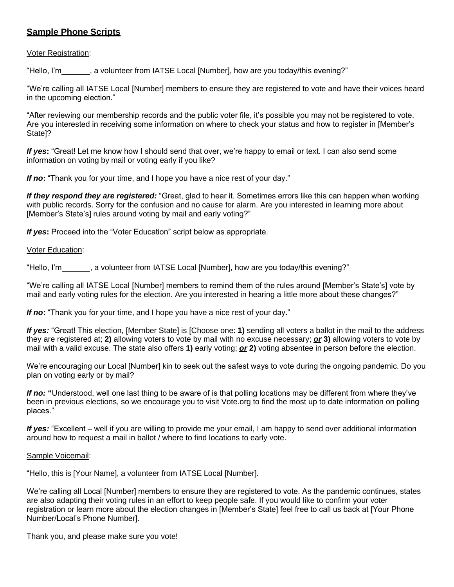#### **Sample Phone Scripts**

#### Voter Registration:

"Hello, I'm , a volunteer from IATSE Local [Number], how are you today/this evening?"

"We're calling all IATSE Local [Number] members to ensure they are registered to vote and have their voices heard in the upcoming election."

"After reviewing our membership records and the public voter file, it's possible you may not be registered to vote. Are you interested in receiving some information on where to check your status and how to register in [Member's State]?

*If yes***:** "Great! Let me know how I should send that over, we're happy to email or text. I can also send some information on voting by mail or voting early if you like?

*If no***:** "Thank you for your time, and I hope you have a nice rest of your day."

*If they respond they are registered:* "Great, glad to hear it. Sometimes errors like this can happen when working with public records. Sorry for the confusion and no cause for alarm. Are you interested in learning more about [Member's State's] rules around voting by mail and early voting?"

*If yes:* Proceed into the "Voter Education" script below as appropriate.

#### Voter Education:

"Hello, I'm \_\_\_\_\_, a volunteer from IATSE Local [Number], how are you today/this evening?"

"We're calling all IATSE Local [Number] members to remind them of the rules around [Member's State's] vote by mail and early voting rules for the election. Are you interested in hearing a little more about these changes?"

*If no***:** "Thank you for your time, and I hope you have a nice rest of your day."

*If yes:* "Great! This election, [Member State] is [Choose one: **1)** sending all voters a ballot in the mail to the address they are registered at; **2)** allowing voters to vote by mail with no excuse necessary; *or* **3)** allowing voters to vote by mail with a valid excuse. The state also offers **1)** early voting; *or* **2)** voting absentee in person before the election.

We're encouraging our Local [Number] kin to seek out the safest ways to vote during the ongoing pandemic. Do you plan on voting early or by mail?

*If no:* **"**Understood, well one last thing to be aware of is that polling locations may be different from where they've been in previous elections, so we encourage you to visit Vote.org to find the most up to date information on polling places."

*If yes:* "Excellent – well if you are willing to provide me your email, I am happy to send over additional information around how to request a mail in ballot / where to find locations to early vote.

#### Sample Voicemail:

"Hello, this is [Your Name], a volunteer from IATSE Local [Number].

We're calling all Local [Number] members to ensure they are registered to vote. As the pandemic continues, states are also adapting their voting rules in an effort to keep people safe. If you would like to confirm your voter registration or learn more about the election changes in [Member's State] feel free to call us back at [Your Phone Number/Local's Phone Number].

Thank you, and please make sure you vote!